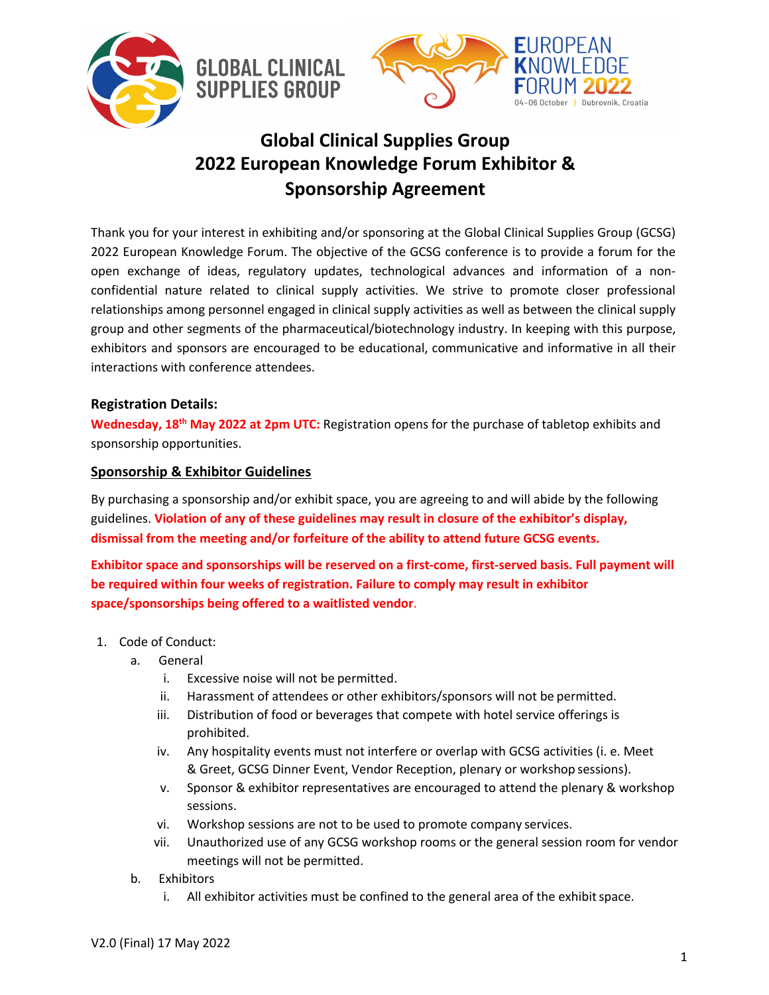

## **Global Clinical Supplies Group 2022 European Knowledge Forum Exhibitor & Sponsorship Agreement**

Thank you for your interest in exhibiting and/or sponsoring at the Global Clinical Supplies Group (GCSG) 2022 European Knowledge Forum. The objective of the GCSG conference is to provide a forum for the open exchange of ideas, regulatory updates, technological advances and information of a nonconfidential nature related to clinical supply activities. We strive to promote closer professional relationships among personnel engaged in clinical supply activities as well as between the clinical supply group and other segments of the pharmaceutical/biotechnology industry. In keeping with this purpose, exhibitors and sponsors are encouraged to be educational, communicative and informative in all their interactions with conference attendees.

## **Registration Details:**

**Wednesday, 18th May 2022 at 2pm UTC:** Registration opens for the purchase of tabletop exhibits and sponsorship opportunities.

## **Sponsorship & Exhibitor Guidelines**

By purchasing a sponsorship and/or exhibit space, you are agreeing to and will abide by the following guidelines. **Violation of any of these guidelines may result in closure of the exhibitor's display, dismissal from the meeting and/or forfeiture of the ability to attend future GCSG events.**

**Exhibitor space and sponsorships will be reserved on a first-come, first-served basis. Full payment will be required within four weeks of registration. Failure to comply may result in exhibitor space/sponsorships being offered to a waitlisted vendor**.

- 1. Code of Conduct:
	- a. General
		- i. Excessive noise will not be permitted.
		- ii. Harassment of attendees or other exhibitors/sponsors will not be permitted.
		- iii. Distribution of food or beverages that compete with hotel service offerings is prohibited.
		- iv. Any hospitality events must not interfere or overlap with GCSG activities (i. e. Meet & Greet, GCSG Dinner Event, Vendor Reception, plenary or workshop sessions).
		- v. Sponsor & exhibitor representatives are encouraged to attend the plenary & workshop sessions.
		- vi. Workshop sessions are not to be used to promote company services.
		- vii. Unauthorized use of any GCSG workshop rooms or the general session room for vendor meetings will not be permitted.
	- b. Exhibitors
		- i. All exhibitor activities must be confined to the general area of the exhibit space.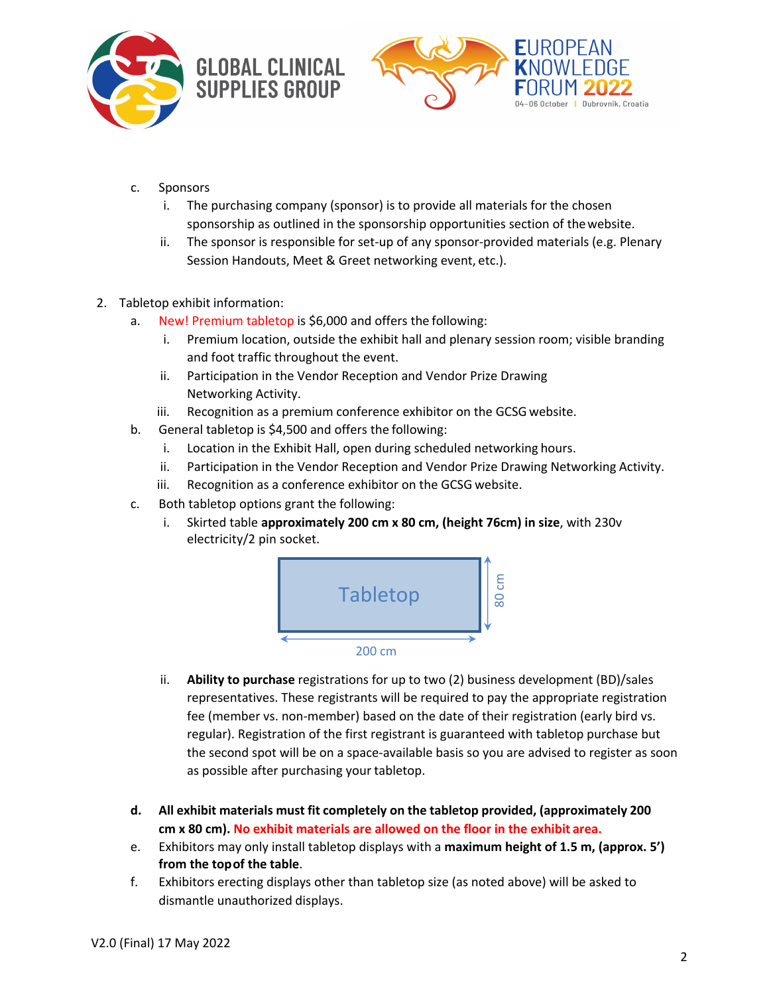



- c. Sponsors
	- i. The purchasing company (sponsor) is to provide all materials for the chosen sponsorship as outlined in the sponsorship opportunities section of thewebsite.
	- ii. The sponsor is responsible for set-up of any sponsor-provided materials (e.g. Plenary Session Handouts, Meet & Greet networking event, etc.).
- 2. Tabletop exhibit information:
	- a. New! Premium tabletop is \$6,000 and offers the following:
		- i. Premium location, outside the exhibit hall and plenary session room; visible branding and foot traffic throughout the event.
		- ii. Participation in the Vendor Reception and Vendor Prize Drawing Networking Activity.
		- iii. Recognition as a premium conference exhibitor on the GCSG website.
	- b. General tabletop is \$4,500 and offers the following:
		- i. Location in the Exhibit Hall, open during scheduled networking hours.
		- ii. Participation in the Vendor Reception and Vendor Prize Drawing Networking Activity.
		- iii. Recognition as a conference exhibitor on the GCSG website.
	- c. Both tabletop options grant the following:
		- i. Skirted table **approximately 200 cm x 80 cm, (height 76cm) in size**, with 230v electricity/2 pin socket.



- ii. **Ability to purchase** registrations for up to two (2) business development (BD)/sales representatives. These registrants will be required to pay the appropriate registration fee (member vs. non-member) based on the date of their registration (early bird vs. regular). Registration of the first registrant is guaranteed with tabletop purchase but the second spot will be on a space-available basis so you are advised to register as soon as possible after purchasing your tabletop.
- **d. All exhibit materials must fit completely on the tabletop provided, (approximately 200 cm x 80 cm). No exhibit materials are allowed on the floor in the exhibit area.**
- e. Exhibitors may only install tabletop displays with a **maximum height of 1.5 m, (approx. 5') from the topof the table**.
- f. Exhibitors erecting displays other than tabletop size (as noted above) will be asked to dismantle unauthorized displays.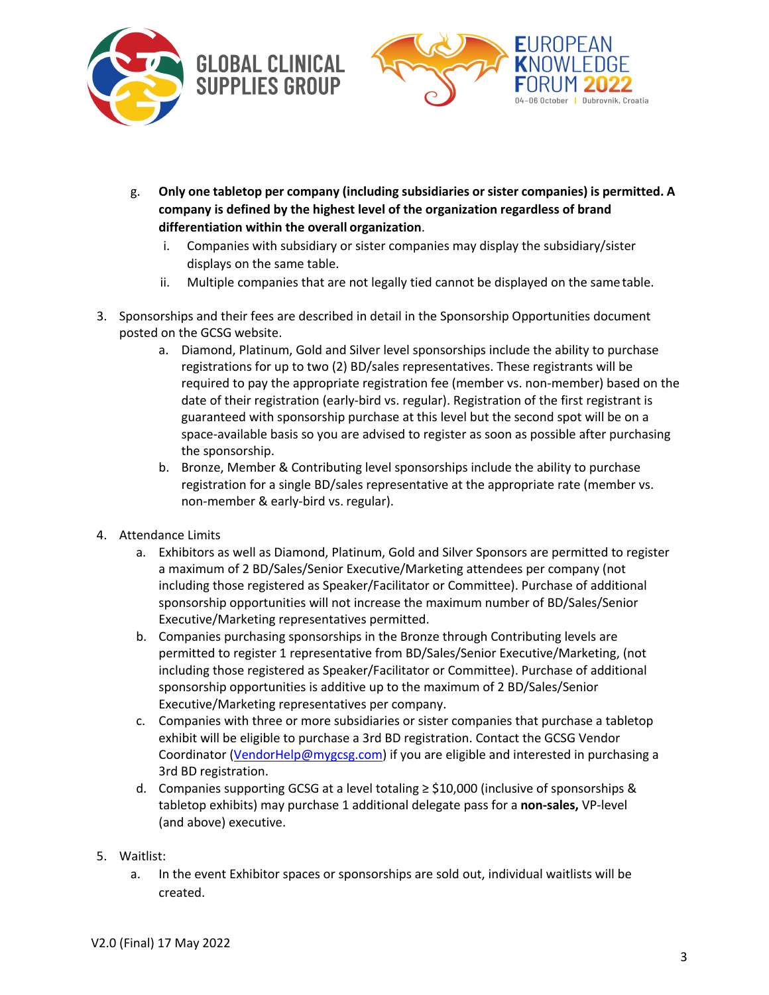



- g. **Only one tabletop per company (including subsidiaries or sister companies) is permitted. A company is defined by the highest level of the organization regardless of brand differentiation within the overall organization**.
	- i. Companies with subsidiary or sister companies may display the subsidiary/sister displays on the same table.
	- ii. Multiple companies that are not legally tied cannot be displayed on the sametable.
- 3. Sponsorships and their fees are described in detail in the Sponsorship Opportunities document posted on the GCSG website.
	- a. Diamond, Platinum, Gold and Silver level sponsorships include the ability to purchase registrations for up to two (2) BD/sales representatives. These registrants will be required to pay the appropriate registration fee (member vs. non-member) based on the date of their registration (early-bird vs. regular). Registration of the first registrant is guaranteed with sponsorship purchase at this level but the second spot will be on a space-available basis so you are advised to register as soon as possible after purchasing the sponsorship.
	- b. Bronze, Member & Contributing level sponsorships include the ability to purchase registration for a single BD/sales representative at the appropriate rate (member vs. non-member & early-bird vs. regular).
- 4. Attendance Limits
	- a. Exhibitors as well as Diamond, Platinum, Gold and Silver Sponsors are permitted to register a maximum of 2 BD/Sales/Senior Executive/Marketing attendees per company (not including those registered as Speaker/Facilitator or Committee). Purchase of additional sponsorship opportunities will not increase the maximum number of BD/Sales/Senior Executive/Marketing representatives permitted.
	- b. Companies purchasing sponsorships in the Bronze through Contributing levels are permitted to register 1 representative from BD/Sales/Senior Executive/Marketing, (not including those registered as Speaker/Facilitator or Committee). Purchase of additional sponsorship opportunities is additive up to the maximum of 2 BD/Sales/Senior Executive/Marketing representatives per company.
	- c. Companies with three or more subsidiaries or sister companies that purchase a tabletop exhibit will be eligible to purchase a 3rd BD registration. Contact the GCSG Vendor Coordinator (VendorHelp@mygcsg.com) if you are eligible and interested in purchasing a 3rd BD registration.
	- d. Companies supporting GCSG at a level totaling  $\geq$  \$10,000 (inclusive of sponsorships & tabletop exhibits) may purchase 1 additional delegate pass for a **non-sales,** VP-level (and above) executive.
- 5. Waitlist:
	- a. In the event Exhibitor spaces or sponsorships are sold out, individual waitlists will be created.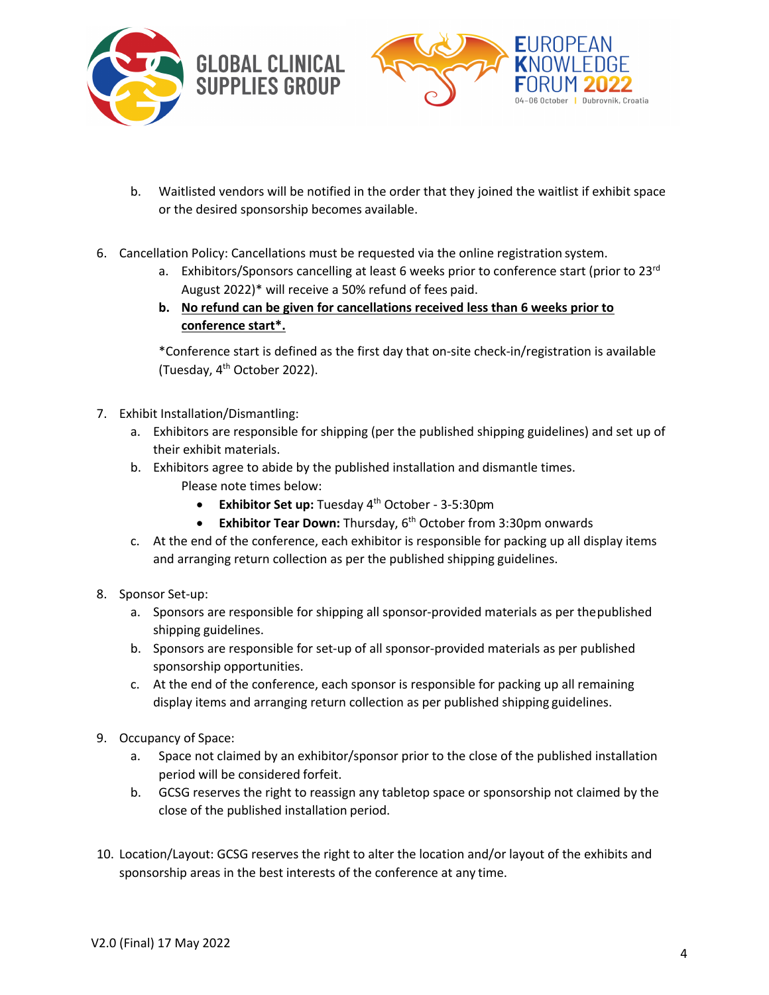



- b. Waitlisted vendors will be notified in the order that they joined the waitlist if exhibit space or the desired sponsorship becomes available.
- 6. Cancellation Policy: Cancellations must be requested via the online registration system.
	- a. Exhibitors/Sponsors cancelling at least 6 weeks prior to conference start (prior to 23 $rd$ August 2022)\* will receive a 50% refund of fees paid.
	- **b. No refund can be given for cancellations received less than 6 weeks prior to conference start\*.**

\*Conference start is defined as the first day that on-site check-in/registration is available (Tuesday, 4th October 2022).

- 7. Exhibit Installation/Dismantling:
	- a. Exhibitors are responsible for shipping (per the published shipping guidelines) and set up of their exhibit materials.
	- b. Exhibitors agree to abide by the published installation and dismantle times. Please note times below:
		- **Exhibitor Set up:** Tuesday 4th October 3-5:30pm
		- **Exhibitor Tear Down:** Thursday, 6<sup>th</sup> October from 3:30pm onwards
	- c. At the end of the conference, each exhibitor is responsible for packing up all display items and arranging return collection as per the published shipping guidelines.
- 8. Sponsor Set-up:
	- a. Sponsors are responsible for shipping all sponsor-provided materials as per thepublished shipping guidelines.
	- b. Sponsors are responsible for set-up of all sponsor-provided materials as per published sponsorship opportunities.
	- c. At the end of the conference, each sponsor is responsible for packing up all remaining display items and arranging return collection as per published shipping guidelines.
- 9. Occupancy of Space:
	- a. Space not claimed by an exhibitor/sponsor prior to the close of the published installation period will be considered forfeit.
	- b. GCSG reserves the right to reassign any tabletop space or sponsorship not claimed by the close of the published installation period.
- 10. Location/Layout: GCSG reserves the right to alter the location and/or layout of the exhibits and sponsorship areas in the best interests of the conference at any time.